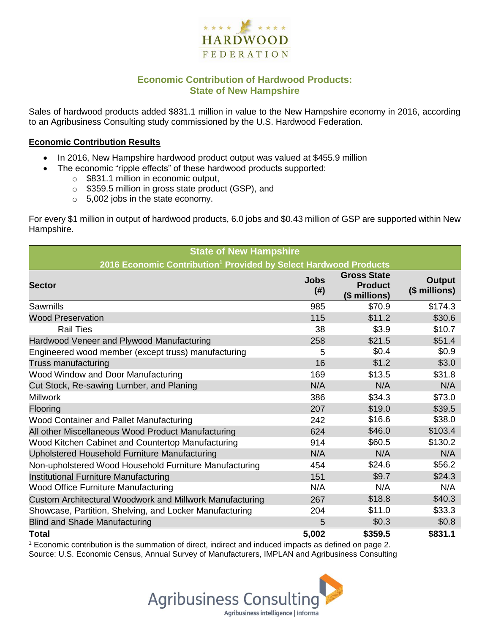

## **Economic Contribution of Hardwood Products: State of New Hampshire**

Sales of hardwood products added \$831.1 million in value to the New Hampshire economy in 2016, according to an Agribusiness Consulting study commissioned by the U.S. Hardwood Federation.

#### **Economic Contribution Results**

- In 2016, New Hampshire hardwood product output was valued at \$455.9 million
	- The economic "ripple effects" of these hardwood products supported:
		- o \$831.1 million in economic output,
		- o \$359.5 million in gross state product (GSP), and
		- o 5,002 jobs in the state economy.

For every \$1 million in output of hardwood products, 6.0 jobs and \$0.43 million of GSP are supported within New Hampshire.

| <b>State of New Hampshire</b>                                                |                     |                                                       |                                |  |  |  |
|------------------------------------------------------------------------------|---------------------|-------------------------------------------------------|--------------------------------|--|--|--|
| 2016 Economic Contribution <sup>1</sup> Provided by Select Hardwood Products |                     |                                                       |                                |  |  |  |
| <b>Sector</b>                                                                | <b>Jobs</b><br>(# ) | <b>Gross State</b><br><b>Product</b><br>(\$ millions) | <b>Output</b><br>(\$ millions) |  |  |  |
| Sawmills                                                                     | 985                 | \$70.9                                                | \$174.3                        |  |  |  |
| <b>Wood Preservation</b>                                                     | 115                 | \$11.2                                                | \$30.6                         |  |  |  |
| <b>Rail Ties</b>                                                             | 38                  | \$3.9                                                 | \$10.7                         |  |  |  |
| Hardwood Veneer and Plywood Manufacturing                                    | 258                 | \$21.5                                                | \$51.4                         |  |  |  |
| Engineered wood member (except truss) manufacturing                          | 5                   | \$0.4                                                 | \$0.9                          |  |  |  |
| Truss manufacturing                                                          | 16                  | \$1.2                                                 | \$3.0                          |  |  |  |
| Wood Window and Door Manufacturing                                           | 169                 | \$13.5                                                | \$31.8                         |  |  |  |
| Cut Stock, Re-sawing Lumber, and Planing                                     | N/A                 | N/A                                                   | N/A                            |  |  |  |
| <b>Millwork</b>                                                              | 386                 | \$34.3                                                | \$73.0                         |  |  |  |
| Flooring                                                                     | 207                 | \$19.0                                                | \$39.5                         |  |  |  |
| Wood Container and Pallet Manufacturing                                      | 242                 | \$16.6                                                | \$38.0                         |  |  |  |
| All other Miscellaneous Wood Product Manufacturing                           | 624                 | \$46.0                                                | \$103.4                        |  |  |  |
| Wood Kitchen Cabinet and Countertop Manufacturing                            | 914                 | \$60.5                                                | \$130.2                        |  |  |  |
| Upholstered Household Furniture Manufacturing                                | N/A                 | N/A                                                   | N/A                            |  |  |  |
| Non-upholstered Wood Household Furniture Manufacturing                       | 454                 | \$24.6                                                | \$56.2                         |  |  |  |
| Institutional Furniture Manufacturing                                        | 151                 | \$9.7                                                 | \$24.3                         |  |  |  |
| <b>Wood Office Furniture Manufacturing</b>                                   | N/A                 | N/A                                                   | N/A                            |  |  |  |
| Custom Architectural Woodwork and Millwork Manufacturing                     | 267                 | \$18.8                                                | \$40.3\$                       |  |  |  |
| Showcase, Partition, Shelving, and Locker Manufacturing                      | 204                 | \$11.0                                                | \$33.3                         |  |  |  |
| <b>Blind and Shade Manufacturing</b>                                         | 5                   | \$0.3                                                 | \$0.8                          |  |  |  |
| <b>Total</b>                                                                 | 5,002               | \$359.5                                               | \$831.1                        |  |  |  |

 $1$  Economic contribution is the summation of direct, indirect and induced impacts as defined on page 2. Source: U.S. Economic Census, Annual Survey of Manufacturers, IMPLAN and Agribusiness Consulting